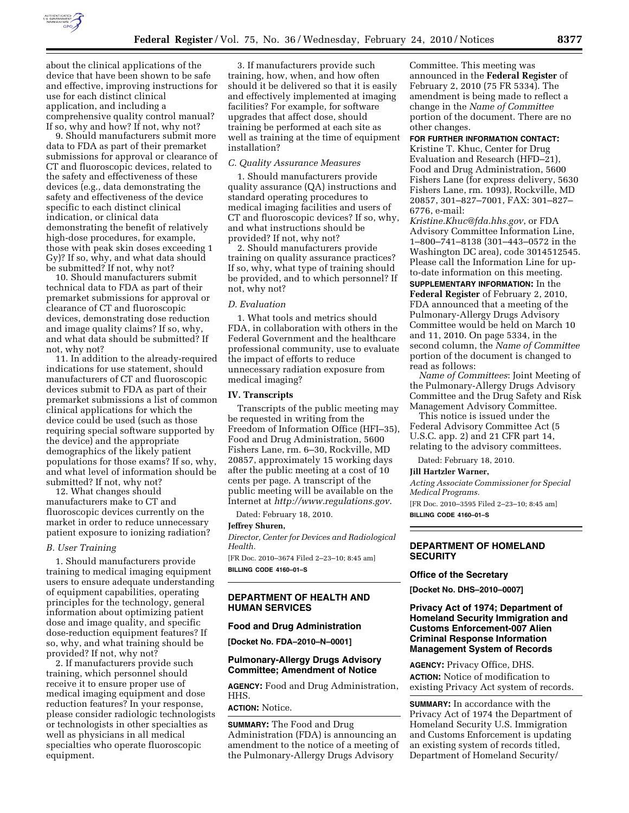

about the clinical applications of the device that have been shown to be safe and effective, improving instructions for use for each distinct clinical application, and including a comprehensive quality control manual? If so, why and how? If not, why not?

9. Should manufacturers submit more data to FDA as part of their premarket submissions for approval or clearance of CT and fluoroscopic devices, related to the safety and effectiveness of these devices (e.g., data demonstrating the safety and effectiveness of the device specific to each distinct clinical indication, or clinical data demonstrating the benefit of relatively high-dose procedures, for example, those with peak skin doses exceeding 1 Gy)? If so, why, and what data should be submitted? If not, why not?

10. Should manufacturers submit technical data to FDA as part of their premarket submissions for approval or clearance of CT and fluoroscopic devices, demonstrating dose reduction and image quality claims? If so, why, and what data should be submitted? If not, why not?

11. In addition to the already-required indications for use statement, should manufacturers of CT and fluoroscopic devices submit to FDA as part of their premarket submissions a list of common clinical applications for which the device could be used (such as those requiring special software supported by the device) and the appropriate demographics of the likely patient populations for those exams? If so, why, and what level of information should be submitted? If not, why not?

12. What changes should manufacturers make to CT and fluoroscopic devices currently on the market in order to reduce unnecessary patient exposure to ionizing radiation?

#### *B. User Training*

1. Should manufacturers provide training to medical imaging equipment users to ensure adequate understanding of equipment capabilities, operating principles for the technology, general information about optimizing patient dose and image quality, and specific dose-reduction equipment features? If so, why, and what training should be provided? If not, why not?

2. If manufacturers provide such training, which personnel should receive it to ensure proper use of medical imaging equipment and dose reduction features? In your response, please consider radiologic technologists or technologists in other specialties as well as physicians in all medical specialties who operate fluoroscopic equipment.

3. If manufacturers provide such training, how, when, and how often should it be delivered so that it is easily and effectively implemented at imaging facilities? For example, for software upgrades that affect dose, should training be performed at each site as well as training at the time of equipment installation?

### *C. Quality Assurance Measures*

1. Should manufacturers provide quality assurance (QA) instructions and standard operating procedures to medical imaging facilities and users of CT and fluoroscopic devices? If so, why, and what instructions should be provided? If not, why not?

2. Should manufacturers provide training on quality assurance practices? If so, why, what type of training should be provided, and to which personnel? If not, why not?

#### *D. Evaluation*

1. What tools and metrics should FDA, in collaboration with others in the Federal Government and the healthcare professional community, use to evaluate the impact of efforts to reduce unnecessary radiation exposure from medical imaging?

## **IV. Transcripts**

Transcripts of the public meeting may be requested in writing from the Freedom of Information Office (HFI–35), Food and Drug Administration, 5600 Fishers Lane, rm. 6–30, Rockville, MD 20857, approximately 15 working days after the public meeting at a cost of 10 cents per page. A transcript of the public meeting will be available on the Internet at *http://www.regulations.gov*.

Dated: February 18, 2010.

### **Jeffrey Shuren,**

*Director, Center for Devices and Radiological Health.* 

[FR Doc. 2010–3674 Filed 2–23–10; 8:45 am] **BILLING CODE 4160–01–S** 

## **DEPARTMENT OF HEALTH AND HUMAN SERVICES**

## **Food and Drug Administration**

**[Docket No. FDA–2010–N–0001]** 

## **Pulmonary-Allergy Drugs Advisory Committee; Amendment of Notice**

**AGENCY:** Food and Drug Administration, HHS.

# **ACTION:** Notice.

**SUMMARY:** The Food and Drug Administration (FDA) is announcing an amendment to the notice of a meeting of the Pulmonary-Allergy Drugs Advisory

Committee. This meeting was announced in the **Federal Register** of February 2, 2010 (75 FR 5334). The amendment is being made to reflect a change in the *Name of Committee*  portion of the document. There are no other changes.

# **FOR FURTHER INFORMATION CONTACT:**

Kristine T. Khuc, Center for Drug Evaluation and Research (HFD–21), Food and Drug Administration, 5600 Fishers Lane (for express delivery, 5630 Fishers Lane, rm. 1093), Rockville, MD 20857, 301–827–7001, FAX: 301–827– 6776, e-mail:

*Kristine.Khuc@fda.hhs.gov*, or FDA Advisory Committee Information Line, 1–800–741–8138 (301–443–0572 in the Washington DC area), code 3014512545. Please call the Information Line for upto-date information on this meeting.

**SUPPLEMENTARY INFORMATION:** In the **Federal Register** of February 2, 2010, FDA announced that a meeting of the Pulmonary-Allergy Drugs Advisory Committee would be held on March 10 and 11, 2010. On page 5334, in the second column, the *Name of Committee*  portion of the document is changed to read as follows:

*Name of Committees*: Joint Meeting of the Pulmonary-Allergy Drugs Advisory Committee and the Drug Safety and Risk Management Advisory Committee.

This notice is issued under the Federal Advisory Committee Act (5 U.S.C. app. 2) and 21 CFR part 14, relating to the advisory committees.

Dated: February 18, 2010.

#### **Jill Hartzler Warner,**

*Acting Associate Commissioner for Special Medical Programs.* 

[FR Doc. 2010–3595 Filed 2–23–10; 8:45 am] **BILLING CODE 4160–01–S** 

**DEPARTMENT OF HOMELAND SECURITY** 

### **Office of the Secretary**

**[Docket No. DHS–2010–0007]** 

# **Privacy Act of 1974; Department of Homeland Security Immigration and Customs Enforcement-007 Alien Criminal Response Information Management System of Records**

**AGENCY:** Privacy Office, DHS. **ACTION:** Notice of modification to existing Privacy Act system of records.

**SUMMARY:** In accordance with the Privacy Act of 1974 the Department of Homeland Security U.S. Immigration and Customs Enforcement is updating an existing system of records titled, Department of Homeland Security/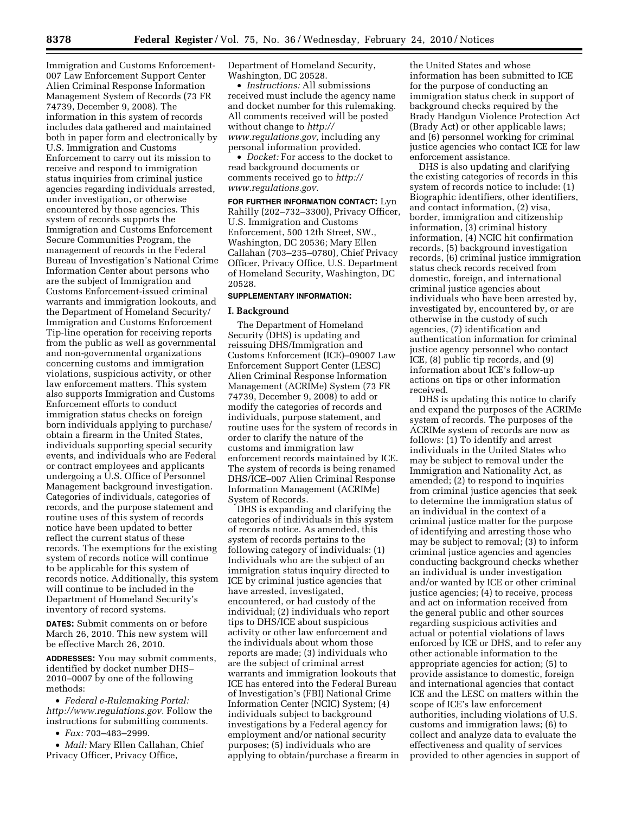Immigration and Customs Enforcement-007 Law Enforcement Support Center Alien Criminal Response Information Management System of Records (73 FR 74739, December 9, 2008). The information in this system of records includes data gathered and maintained both in paper form and electronically by U.S. Immigration and Customs Enforcement to carry out its mission to receive and respond to immigration status inquiries from criminal justice agencies regarding individuals arrested, under investigation, or otherwise encountered by those agencies. This system of records supports the Immigration and Customs Enforcement Secure Communities Program, the management of records in the Federal Bureau of Investigation's National Crime Information Center about persons who are the subject of Immigration and Customs Enforcement-issued criminal warrants and immigration lookouts, and the Department of Homeland Security/ Immigration and Customs Enforcement Tip-line operation for receiving reports from the public as well as governmental and non-governmental organizations concerning customs and immigration violations, suspicious activity, or other law enforcement matters. This system also supports Immigration and Customs Enforcement efforts to conduct immigration status checks on foreign born individuals applying to purchase/ obtain a firearm in the United States, individuals supporting special security events, and individuals who are Federal or contract employees and applicants undergoing a U.S. Office of Personnel Management background investigation. Categories of individuals, categories of records, and the purpose statement and routine uses of this system of records notice have been updated to better reflect the current status of these records. The exemptions for the existing system of records notice will continue to be applicable for this system of records notice. Additionally, this system will continue to be included in the Department of Homeland Security's inventory of record systems.

**DATES:** Submit comments on or before March 26, 2010. This new system will be effective March 26, 2010.

**ADDRESSES:** You may submit comments, identified by docket number DHS– 2010–0007 by one of the following methods:

• *Federal e-Rulemaking Portal: http://www.regulations.gov.* Follow the instructions for submitting comments.

• *Fax:* 703–483–2999.

• *Mail:* Mary Ellen Callahan, Chief Privacy Officer, Privacy Office,

Department of Homeland Security, Washington, DC 20528.

• *Instructions:* All submissions received must include the agency name and docket number for this rulemaking. All comments received will be posted without change to *http:// www.regulations.gov,* including any personal information provided.

• *Docket:* For access to the docket to read background documents or comments received go to *http:// www.regulations.gov.* 

**FOR FURTHER INFORMATION CONTACT:** Lyn Rahilly (202–732–3300), Privacy Officer, U.S. Immigration and Customs Enforcement, 500 12th Street, SW., Washington, DC 20536; Mary Ellen Callahan (703–235–0780), Chief Privacy Officer, Privacy Office, U.S. Department of Homeland Security, Washington, DC 20528.

### **SUPPLEMENTARY INFORMATION:**

### **I. Background**

The Department of Homeland Security (DHS) is updating and reissuing DHS/Immigration and Customs Enforcement (ICE)–09007 Law Enforcement Support Center (LESC) Alien Criminal Response Information Management (ACRIMe) System (73 FR 74739, December 9, 2008) to add or modify the categories of records and individuals, purpose statement, and routine uses for the system of records in order to clarify the nature of the customs and immigration law enforcement records maintained by ICE. The system of records is being renamed DHS/ICE–007 Alien Criminal Response Information Management (ACRIMe) System of Records.

DHS is expanding and clarifying the categories of individuals in this system of records notice. As amended, this system of records pertains to the following category of individuals: (1) Individuals who are the subject of an immigration status inquiry directed to ICE by criminal justice agencies that have arrested, investigated, encountered, or had custody of the individual; (2) individuals who report tips to DHS/ICE about suspicious activity or other law enforcement and the individuals about whom those reports are made; (3) individuals who are the subject of criminal arrest warrants and immigration lookouts that ICE has entered into the Federal Bureau of Investigation's (FBI) National Crime Information Center (NCIC) System; (4) individuals subject to background investigations by a Federal agency for employment and/or national security purposes; (5) individuals who are applying to obtain/purchase a firearm in

the United States and whose information has been submitted to ICE for the purpose of conducting an immigration status check in support of background checks required by the Brady Handgun Violence Protection Act (Brady Act) or other applicable laws; and (6) personnel working for criminal justice agencies who contact ICE for law enforcement assistance.

DHS is also updating and clarifying the existing categories of records in this system of records notice to include: (1) Biographic identifiers, other identifiers, and contact information, (2) visa, border, immigration and citizenship information, (3) criminal history information, (4) NCIC hit confirmation records, (5) background investigation records, (6) criminal justice immigration status check records received from domestic, foreign, and international criminal justice agencies about individuals who have been arrested by, investigated by, encountered by, or are otherwise in the custody of such agencies, (7) identification and authentication information for criminal justice agency personnel who contact ICE, (8) public tip records, and (9) information about ICE's follow-up actions on tips or other information received.

DHS is updating this notice to clarify and expand the purposes of the ACRIMe system of records. The purposes of the ACRIMe system of records are now as follows: (1) To identify and arrest individuals in the United States who may be subject to removal under the Immigration and Nationality Act, as amended; (2) to respond to inquiries from criminal justice agencies that seek to determine the immigration status of an individual in the context of a criminal justice matter for the purpose of identifying and arresting those who may be subject to removal; (3) to inform criminal justice agencies and agencies conducting background checks whether an individual is under investigation and/or wanted by ICE or other criminal justice agencies; (4) to receive, process and act on information received from the general public and other sources regarding suspicious activities and actual or potential violations of laws enforced by ICE or DHS, and to refer any other actionable information to the appropriate agencies for action; (5) to provide assistance to domestic, foreign and international agencies that contact ICE and the LESC on matters within the scope of ICE's law enforcement authorities, including violations of U.S. customs and immigration laws; (6) to collect and analyze data to evaluate the effectiveness and quality of services provided to other agencies in support of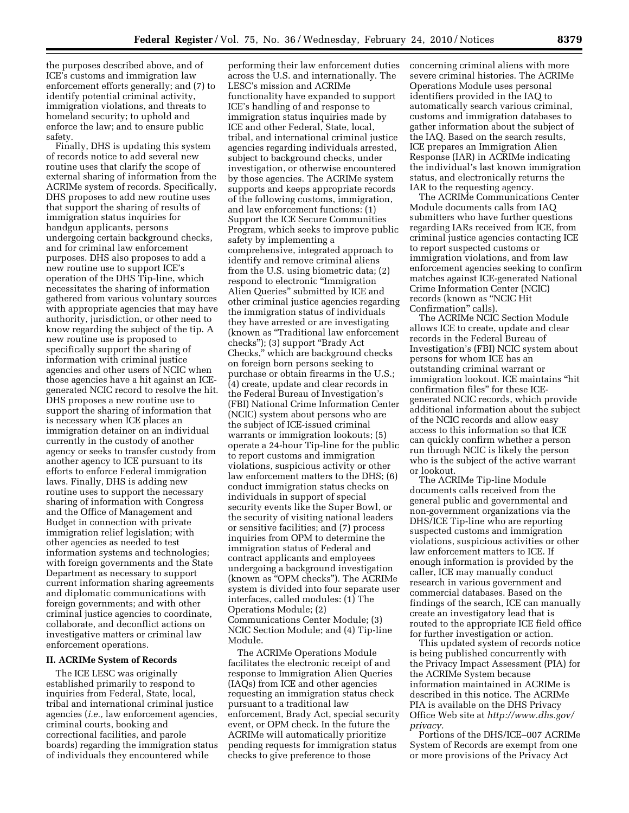the purposes described above, and of ICE's customs and immigration law enforcement efforts generally; and (7) to identify potential criminal activity, immigration violations, and threats to homeland security; to uphold and enforce the law; and to ensure public safety.

Finally, DHS is updating this system of records notice to add several new routine uses that clarify the scope of external sharing of information from the ACRIMe system of records. Specifically, DHS proposes to add new routine uses that support the sharing of results of immigration status inquiries for handgun applicants, persons undergoing certain background checks, and for criminal law enforcement purposes. DHS also proposes to add a new routine use to support ICE's operation of the DHS Tip-line, which necessitates the sharing of information gathered from various voluntary sources with appropriate agencies that may have authority, jurisdiction, or other need to know regarding the subject of the tip. A new routine use is proposed to specifically support the sharing of information with criminal justice agencies and other users of NCIC when those agencies have a hit against an ICEgenerated NCIC record to resolve the hit. DHS proposes a new routine use to support the sharing of information that is necessary when ICE places an immigration detainer on an individual currently in the custody of another agency or seeks to transfer custody from another agency to ICE pursuant to its efforts to enforce Federal immigration laws. Finally, DHS is adding new routine uses to support the necessary sharing of information with Congress and the Office of Management and Budget in connection with private immigration relief legislation; with other agencies as needed to test information systems and technologies; with foreign governments and the State Department as necessary to support current information sharing agreements and diplomatic communications with foreign governments; and with other criminal justice agencies to coordinate, collaborate, and deconflict actions on investigative matters or criminal law enforcement operations.

#### **II. ACRIMe System of Records**

The ICE LESC was originally established primarily to respond to inquiries from Federal, State, local, tribal and international criminal justice agencies (*i.e.,* law enforcement agencies, criminal courts, booking and correctional facilities, and parole boards) regarding the immigration status of individuals they encountered while

performing their law enforcement duties across the U.S. and internationally. The LESC's mission and ACRIMe functionality have expanded to support ICE's handling of and response to immigration status inquiries made by ICE and other Federal, State, local, tribal, and international criminal justice agencies regarding individuals arrested, subject to background checks, under investigation, or otherwise encountered by those agencies. The ACRIMe system supports and keeps appropriate records of the following customs, immigration, and law enforcement functions: (1) Support the ICE Secure Communities Program, which seeks to improve public safety by implementing a comprehensive, integrated approach to identify and remove criminal aliens from the U.S. using biometric data; (2) respond to electronic ''Immigration Alien Queries'' submitted by ICE and other criminal justice agencies regarding the immigration status of individuals they have arrested or are investigating (known as ''Traditional law enforcement checks''); (3) support ''Brady Act Checks,'' which are background checks on foreign born persons seeking to purchase or obtain firearms in the U.S.; (4) create, update and clear records in the Federal Bureau of Investigation's (FBI) National Crime Information Center (NCIC) system about persons who are the subject of ICE-issued criminal warrants or immigration lookouts; (5) operate a 24-hour Tip-line for the public to report customs and immigration violations, suspicious activity or other law enforcement matters to the DHS; (6) conduct immigration status checks on individuals in support of special security events like the Super Bowl, or the security of visiting national leaders or sensitive facilities; and (7) process inquiries from OPM to determine the immigration status of Federal and contract applicants and employees undergoing a background investigation (known as ''OPM checks''). The ACRIMe system is divided into four separate user interfaces, called modules: (1) The Operations Module; (2) Communications Center Module; (3) NCIC Section Module; and (4) Tip-line Module.

The ACRIMe Operations Module facilitates the electronic receipt of and response to Immigration Alien Queries (IAQs) from ICE and other agencies requesting an immigration status check pursuant to a traditional law enforcement, Brady Act, special security event, or OPM check. In the future the ACRIMe will automatically prioritize pending requests for immigration status checks to give preference to those

concerning criminal aliens with more severe criminal histories. The ACRIMe Operations Module uses personal identifiers provided in the IAQ to automatically search various criminal, customs and immigration databases to gather information about the subject of the IAQ. Based on the search results, ICE prepares an Immigration Alien Response (IAR) in ACRIMe indicating the individual's last known immigration status, and electronically returns the IAR to the requesting agency.

The ACRIMe Communications Center Module documents calls from IAQ submitters who have further questions regarding IARs received from ICE, from criminal justice agencies contacting ICE to report suspected customs or immigration violations, and from law enforcement agencies seeking to confirm matches against ICE-generated National Crime Information Center (NCIC) records (known as ''NCIC Hit Confirmation'' calls).

The ACRIMe NCIC Section Module allows ICE to create, update and clear records in the Federal Bureau of Investigation's (FBI) NCIC system about persons for whom ICE has an outstanding criminal warrant or immigration lookout. ICE maintains ''hit confirmation files'' for these ICEgenerated NCIC records, which provide additional information about the subject of the NCIC records and allow easy access to this information so that ICE can quickly confirm whether a person run through NCIC is likely the person who is the subject of the active warrant or lookout.

The ACRIMe Tip-line Module documents calls received from the general public and governmental and non-government organizations via the DHS/ICE Tip-line who are reporting suspected customs and immigration violations, suspicious activities or other law enforcement matters to ICE. If enough information is provided by the caller, ICE may manually conduct research in various government and commercial databases. Based on the findings of the search, ICE can manually create an investigatory lead that is routed to the appropriate ICE field office for further investigation or action.

This updated system of records notice is being published concurrently with the Privacy Impact Assessment (PIA) for the ACRIMe System because information maintained in ACRIMe is described in this notice. The ACRIMe PIA is available on the DHS Privacy Office Web site at *http://www.dhs.gov/ privacy.* 

Portions of the DHS/ICE–007 ACRIMe System of Records are exempt from one or more provisions of the Privacy Act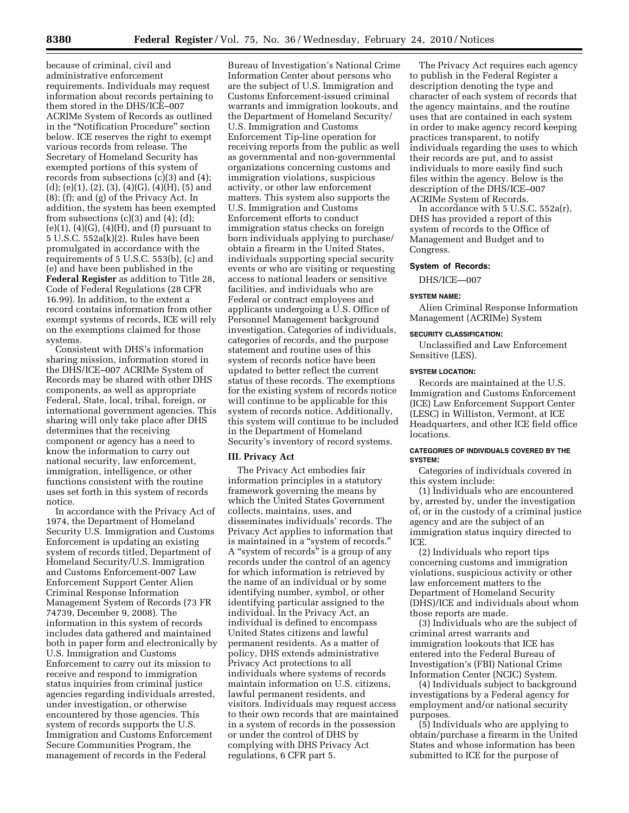because of criminal, civil and administrative enforcement requirements. Individuals may request information about records pertaining to them stored in the DHS/ICE–007 ACRIMe System of Records as outlined in the ''Notification Procedure'' section below. ICE reserves the right to exempt various records from release. The Secretary of Homeland Security has exempted portions of this system of records from subsections (c)(3) and (4);  $(d)$ ; (e)(1), (2), (3), (4)(G), (4)(H), (5) and (8); (f); and (g) of the Privacy Act. In addition, the system has been exempted from subsections  $(c)(3)$  and  $(4)$ ;  $(d)$ ;  $(e)(1)$ ,  $(4)(G)$ ,  $(4)(H)$ , and  $(f)$  pursuant to 5 U.S.C. 552a(k)(2). Rules have been promulgated in accordance with the requirements of 5 U.S.C. 553(b), (c) and (e) and have been published in the **Federal Register** as addition to Title 28, Code of Federal Regulations (28 CFR 16.99). In addition, to the extent a record contains information from other exempt systems of records, ICE will rely on the exemptions claimed for those systems.

Consistent with DHS's information sharing mission, information stored in the DHS/ICE–007 ACRIMe System of Records may be shared with other DHS components, as well as appropriate Federal, State, local, tribal, foreign, or international government agencies. This sharing will only take place after DHS determines that the receiving component or agency has a need to know the information to carry out national security, law enforcement, immigration, intelligence, or other functions consistent with the routine uses set forth in this system of records notice.

In accordance with the Privacy Act of 1974, the Department of Homeland Security U.S. Immigration and Customs Enforcement is updating an existing system of records titled, Department of Homeland Security/U.S. Immigration and Customs Enforcement-007 Law Enforcement Support Center Alien Criminal Response Information Management System of Records (73 FR 74739, December 9, 2008). The information in this system of records includes data gathered and maintained both in paper form and electronically by U.S. Immigration and Customs Enforcement to carry out its mission to receive and respond to immigration status inquiries from criminal justice agencies regarding individuals arrested, under investigation, or otherwise encountered by those agencies. This system of records supports the U.S. Immigration and Customs Enforcement Secure Communities Program, the management of records in the Federal

Bureau of Investigation's National Crime Information Center about persons who are the subject of U.S. Immigration and Customs Enforcement-issued criminal warrants and immigration lookouts, and the Department of Homeland Security/ U.S. Immigration and Customs Enforcement Tip-line operation for receiving reports from the public as well as governmental and non-governmental organizations concerning customs and immigration violations, suspicious activity, or other law enforcement matters. This system also supports the U.S. Immigration and Customs Enforcement efforts to conduct immigration status checks on foreign born individuals applying to purchase/ obtain a firearm in the United States, individuals supporting special security events or who are visiting or requesting access to national leaders or sensitive facilities, and individuals who are Federal or contract employees and applicants undergoing a U.S. Office of Personnel Management background investigation. Categories of individuals, categories of records, and the purpose statement and routine uses of this system of records notice have been updated to better reflect the current status of these records. The exemptions for the existing system of records notice will continue to be applicable for this system of records notice. Additionally, this system will continue to be included in the Department of Homeland Security's inventory of record systems.

#### **III. Privacy Act**

The Privacy Act embodies fair information principles in a statutory framework governing the means by which the United States Government collects, maintains, uses, and disseminates individuals' records. The Privacy Act applies to information that is maintained in a ''system of records.'' A ''system of records'' is a group of any records under the control of an agency for which information is retrieved by the name of an individual or by some identifying number, symbol, or other identifying particular assigned to the individual. In the Privacy Act, an individual is defined to encompass United States citizens and lawful permanent residents. As a matter of policy, DHS extends administrative Privacy Act protections to all individuals where systems of records maintain information on U.S. citizens, lawful permanent residents, and visitors. Individuals may request access to their own records that are maintained in a system of records in the possession or under the control of DHS by complying with DHS Privacy Act regulations, 6 CFR part 5.

The Privacy Act requires each agency to publish in the Federal Register a description denoting the type and character of each system of records that the agency maintains, and the routine uses that are contained in each system in order to make agency record keeping practices transparent, to notify individuals regarding the uses to which their records are put, and to assist individuals to more easily find such files within the agency. Below is the description of the DHS/ICE–007 ACRIMe System of Records.

In accordance with 5 U.S.C. 552a(r), DHS has provided a report of this system of records to the Office of Management and Budget and to Congress.

#### **System of Records:**

DHS/ICE—007

## **SYSTEM NAME:**

Alien Criminal Response Information Management (ACRIMe) System

### **SECURITY CLASSIFICATION:**

Unclassified and Law Enforcement Sensitive (LES).

## **SYSTEM LOCATION:**

Records are maintained at the U.S. Immigration and Customs Enforcement (ICE) Law Enforcement Support Center (LESC) in Williston, Vermont, at ICE Headquarters, and other ICE field office **locations** 

## **CATEGORIES OF INDIVIDUALS COVERED BY THE SYSTEM:**

Categories of individuals covered in this system include:

(1) Individuals who are encountered by, arrested by, under the investigation of, or in the custody of a criminal justice agency and are the subject of an immigration status inquiry directed to ICE.

(2) Individuals who report tips concerning customs and immigration violations, suspicious activity or other law enforcement matters to the Department of Homeland Security (DHS)/ICE and individuals about whom those reports are made.

(3) Individuals who are the subject of criminal arrest warrants and immigration lookouts that ICE has entered into the Federal Bureau of Investigation's (FBI) National Crime Information Center (NCIC) System.

(4) Individuals subject to background investigations by a Federal agency for employment and/or national security purposes.

(5) Individuals who are applying to obtain/purchase a firearm in the United States and whose information has been submitted to ICE for the purpose of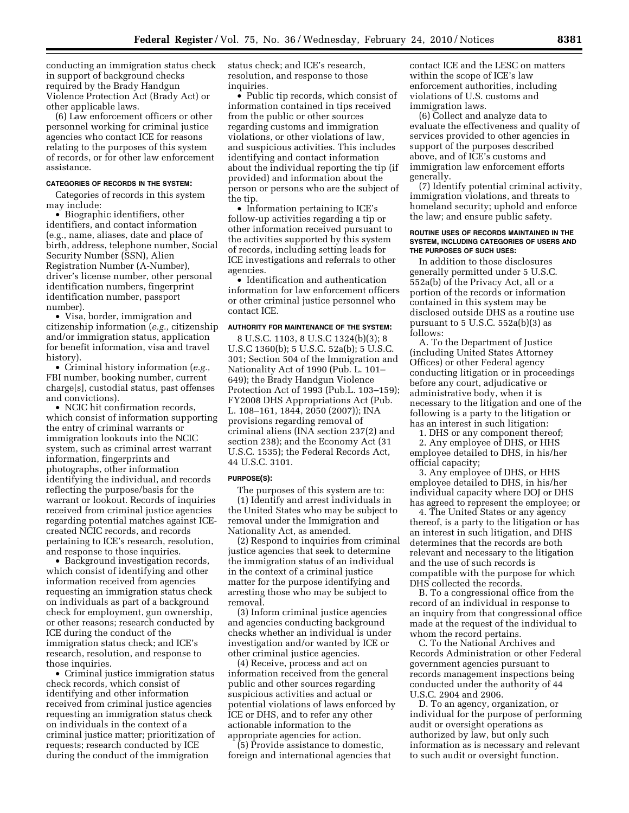conducting an immigration status check in support of background checks required by the Brady Handgun Violence Protection Act (Brady Act) or other applicable laws.

(6) Law enforcement officers or other personnel working for criminal justice agencies who contact ICE for reasons relating to the purposes of this system of records, or for other law enforcement assistance.

#### **CATEGORIES OF RECORDS IN THE SYSTEM:**

Categories of records in this system may include:

• Biographic identifiers, other identifiers, and contact information (e.g., name, aliases, date and place of birth, address, telephone number, Social Security Number (SSN), Alien Registration Number (A-Number), driver's license number, other personal identification numbers, fingerprint identification number, passport number).

• Visa, border, immigration and citizenship information (*e.g.,* citizenship and/or immigration status, application for benefit information, visa and travel history).

• Criminal history information (*e.g.,*  FBI number, booking number, current charge[s], custodial status, past offenses and convictions).

• NCIC hit confirmation records, which consist of information supporting the entry of criminal warrants or immigration lookouts into the NCIC system, such as criminal arrest warrant information, fingerprints and photographs, other information identifying the individual, and records reflecting the purpose/basis for the warrant or lookout. Records of inquiries received from criminal justice agencies regarding potential matches against ICEcreated NCIC records, and records pertaining to ICE's research, resolution, and response to those inquiries.

• Background investigation records, which consist of identifying and other information received from agencies requesting an immigration status check on individuals as part of a background check for employment, gun ownership, or other reasons; research conducted by ICE during the conduct of the immigration status check; and ICE's research, resolution, and response to those inquiries.

• Criminal justice immigration status check records, which consist of identifying and other information received from criminal justice agencies requesting an immigration status check on individuals in the context of a criminal justice matter; prioritization of requests; research conducted by ICE during the conduct of the immigration

status check; and ICE's research, resolution, and response to those inquiries.

• Public tip records, which consist of information contained in tips received from the public or other sources regarding customs and immigration violations, or other violations of law, and suspicious activities. This includes identifying and contact information about the individual reporting the tip (if provided) and information about the person or persons who are the subject of the tip.

• Information pertaining to ICE's follow-up activities regarding a tip or other information received pursuant to the activities supported by this system of records, including setting leads for ICE investigations and referrals to other agencies.

• Identification and authentication information for law enforcement officers or other criminal justice personnel who contact ICE.

### **AUTHORITY FOR MAINTENANCE OF THE SYSTEM:**

8 U.S.C. 1103, 8 U.S.C 1324(b)(3); 8 U.S.C 1360(b); 5 U.S.C. 52a(b); 5 U.S.C. 301; Section 504 of the Immigration and Nationality Act of 1990 (Pub. L. 101– 649); the Brady Handgun Violence Protection Act of 1993 (Pub.L. 103–159); FY2008 DHS Appropriations Act (Pub. L. 108–161, 1844, 2050 (2007)); INA provisions regarding removal of criminal aliens (INA section 237(2) and section 238); and the Economy Act (31 U.S.C. 1535); the Federal Records Act, 44 U.S.C. 3101.

### **PURPOSE(S):**

The purposes of this system are to: (1) Identify and arrest individuals in the United States who may be subject to removal under the Immigration and Nationality Act, as amended.

(2) Respond to inquiries from criminal justice agencies that seek to determine the immigration status of an individual in the context of a criminal justice matter for the purpose identifying and arresting those who may be subject to removal.

(3) Inform criminal justice agencies and agencies conducting background checks whether an individual is under investigation and/or wanted by ICE or other criminal justice agencies.

(4) Receive, process and act on information received from the general public and other sources regarding suspicious activities and actual or potential violations of laws enforced by ICE or DHS, and to refer any other actionable information to the appropriate agencies for action.

(5) Provide assistance to domestic, foreign and international agencies that contact ICE and the LESC on matters within the scope of ICE's law enforcement authorities, including violations of U.S. customs and immigration laws.

(6) Collect and analyze data to evaluate the effectiveness and quality of services provided to other agencies in support of the purposes described above, and of ICE's customs and immigration law enforcement efforts generally.

(7) Identify potential criminal activity, immigration violations, and threats to homeland security; uphold and enforce the law; and ensure public safety.

#### **ROUTINE USES OF RECORDS MAINTAINED IN THE SYSTEM, INCLUDING CATEGORIES OF USERS AND THE PURPOSES OF SUCH USES:**

In addition to those disclosures generally permitted under 5 U.S.C. 552a(b) of the Privacy Act, all or a portion of the records or information contained in this system may be disclosed outside DHS as a routine use pursuant to  $5$  U.S.C.  $552a(b)(3)$  as follows:

A. To the Department of Justice (including United States Attorney Offices) or other Federal agency conducting litigation or in proceedings before any court, adjudicative or administrative body, when it is necessary to the litigation and one of the following is a party to the litigation or has an interest in such litigation:

1. DHS or any component thereof;

2. Any employee of DHS, or HHS employee detailed to DHS, in his/her official capacity;

3. Any employee of DHS, or HHS employee detailed to DHS, in his/her individual capacity where DOJ or DHS has agreed to represent the employee; or

4. The United States or any agency thereof, is a party to the litigation or has an interest in such litigation, and DHS determines that the records are both relevant and necessary to the litigation and the use of such records is compatible with the purpose for which DHS collected the records.

B. To a congressional office from the record of an individual in response to an inquiry from that congressional office made at the request of the individual to whom the record pertains.

C. To the National Archives and Records Administration or other Federal government agencies pursuant to records management inspections being conducted under the authority of 44 U.S.C. 2904 and 2906.

D. To an agency, organization, or individual for the purpose of performing audit or oversight operations as authorized by law, but only such information as is necessary and relevant to such audit or oversight function.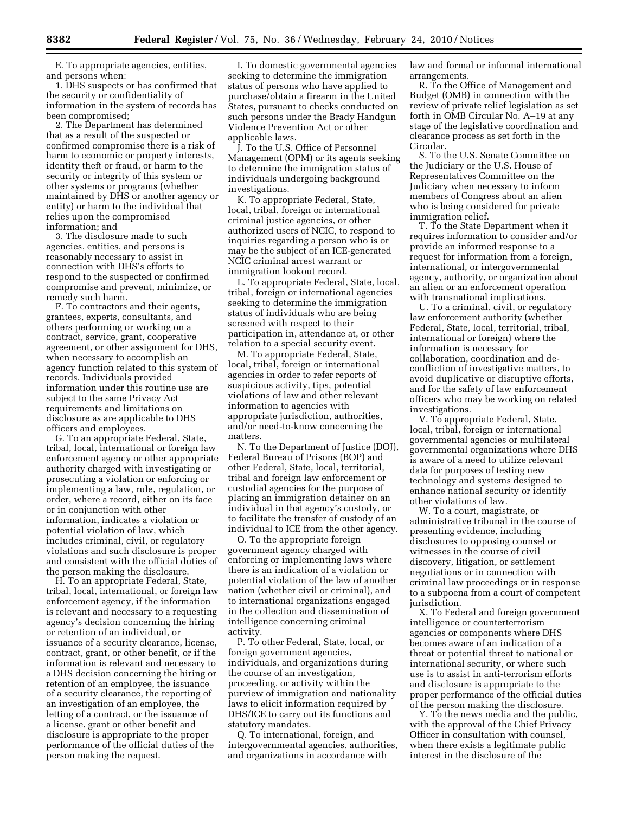E. To appropriate agencies, entities, and persons when:

1. DHS suspects or has confirmed that the security or confidentiality of information in the system of records has been compromised;

2. The Department has determined that as a result of the suspected or confirmed compromise there is a risk of harm to economic or property interests, identity theft or fraud, or harm to the security or integrity of this system or other systems or programs (whether maintained by DHS or another agency or entity) or harm to the individual that relies upon the compromised information; and

3. The disclosure made to such agencies, entities, and persons is reasonably necessary to assist in connection with DHS's efforts to respond to the suspected or confirmed compromise and prevent, minimize, or remedy such harm.

F. To contractors and their agents, grantees, experts, consultants, and others performing or working on a contract, service, grant, cooperative agreement, or other assignment for DHS, when necessary to accomplish an agency function related to this system of records. Individuals provided information under this routine use are subject to the same Privacy Act requirements and limitations on disclosure as are applicable to DHS officers and employees.

G. To an appropriate Federal, State, tribal, local, international or foreign law enforcement agency or other appropriate authority charged with investigating or prosecuting a violation or enforcing or implementing a law, rule, regulation, or order, where a record, either on its face or in conjunction with other information, indicates a violation or potential violation of law, which includes criminal, civil, or regulatory violations and such disclosure is proper and consistent with the official duties of the person making the disclosure.

H. To an appropriate Federal, State, tribal, local, international, or foreign law enforcement agency, if the information is relevant and necessary to a requesting agency's decision concerning the hiring or retention of an individual, or issuance of a security clearance, license, contract, grant, or other benefit, or if the information is relevant and necessary to a DHS decision concerning the hiring or retention of an employee, the issuance of a security clearance, the reporting of an investigation of an employee, the letting of a contract, or the issuance of a license, grant or other benefit and disclosure is appropriate to the proper performance of the official duties of the person making the request.

I. To domestic governmental agencies seeking to determine the immigration status of persons who have applied to purchase/obtain a firearm in the United States, pursuant to checks conducted on such persons under the Brady Handgun Violence Prevention Act or other applicable laws.

J. To the U.S. Office of Personnel Management (OPM) or its agents seeking to determine the immigration status of individuals undergoing background investigations.

K. To appropriate Federal, State, local, tribal, foreign or international criminal justice agencies, or other authorized users of NCIC, to respond to inquiries regarding a person who is or may be the subject of an ICE-generated NCIC criminal arrest warrant or immigration lookout record.

L. To appropriate Federal, State, local, tribal, foreign or international agencies seeking to determine the immigration status of individuals who are being screened with respect to their participation in, attendance at, or other relation to a special security event.

M. To appropriate Federal, State, local, tribal, foreign or international agencies in order to refer reports of suspicious activity, tips, potential violations of law and other relevant information to agencies with appropriate jurisdiction, authorities, and/or need-to-know concerning the matters.

N. To the Department of Justice (DOJ), Federal Bureau of Prisons (BOP) and other Federal, State, local, territorial, tribal and foreign law enforcement or custodial agencies for the purpose of placing an immigration detainer on an individual in that agency's custody, or to facilitate the transfer of custody of an individual to ICE from the other agency.

O. To the appropriate foreign government agency charged with enforcing or implementing laws where there is an indication of a violation or potential violation of the law of another nation (whether civil or criminal), and to international organizations engaged in the collection and dissemination of intelligence concerning criminal activity.

P. To other Federal, State, local, or foreign government agencies, individuals, and organizations during the course of an investigation, proceeding, or activity within the purview of immigration and nationality laws to elicit information required by DHS/ICE to carry out its functions and statutory mandates.

Q. To international, foreign, and intergovernmental agencies, authorities, and organizations in accordance with

law and formal or informal international arrangements.

R. To the Office of Management and Budget (OMB) in connection with the review of private relief legislation as set forth in OMB Circular No. A–19 at any stage of the legislative coordination and clearance process as set forth in the Circular.

S. To the U.S. Senate Committee on the Judiciary or the U.S. House of Representatives Committee on the Judiciary when necessary to inform members of Congress about an alien who is being considered for private immigration relief.

T. To the State Department when it requires information to consider and/or provide an informed response to a request for information from a foreign, international, or intergovernmental agency, authority, or organization about an alien or an enforcement operation with transnational implications.

U. To a criminal, civil, or regulatory law enforcement authority (whether Federal, State, local, territorial, tribal, international or foreign) where the information is necessary for collaboration, coordination and deconfliction of investigative matters, to avoid duplicative or disruptive efforts, and for the safety of law enforcement officers who may be working on related investigations.

V. To appropriate Federal, State, local, tribal, foreign or international governmental agencies or multilateral governmental organizations where DHS is aware of a need to utilize relevant data for purposes of testing new technology and systems designed to enhance national security or identify other violations of law.

W. To a court, magistrate, or administrative tribunal in the course of presenting evidence, including disclosures to opposing counsel or witnesses in the course of civil discovery, litigation, or settlement negotiations or in connection with criminal law proceedings or in response to a subpoena from a court of competent jurisdiction.

X. To Federal and foreign government intelligence or counterterrorism agencies or components where DHS becomes aware of an indication of a threat or potential threat to national or international security, or where such use is to assist in anti-terrorism efforts and disclosure is appropriate to the proper performance of the official duties of the person making the disclosure.

Y. To the news media and the public, with the approval of the Chief Privacy Officer in consultation with counsel, when there exists a legitimate public interest in the disclosure of the